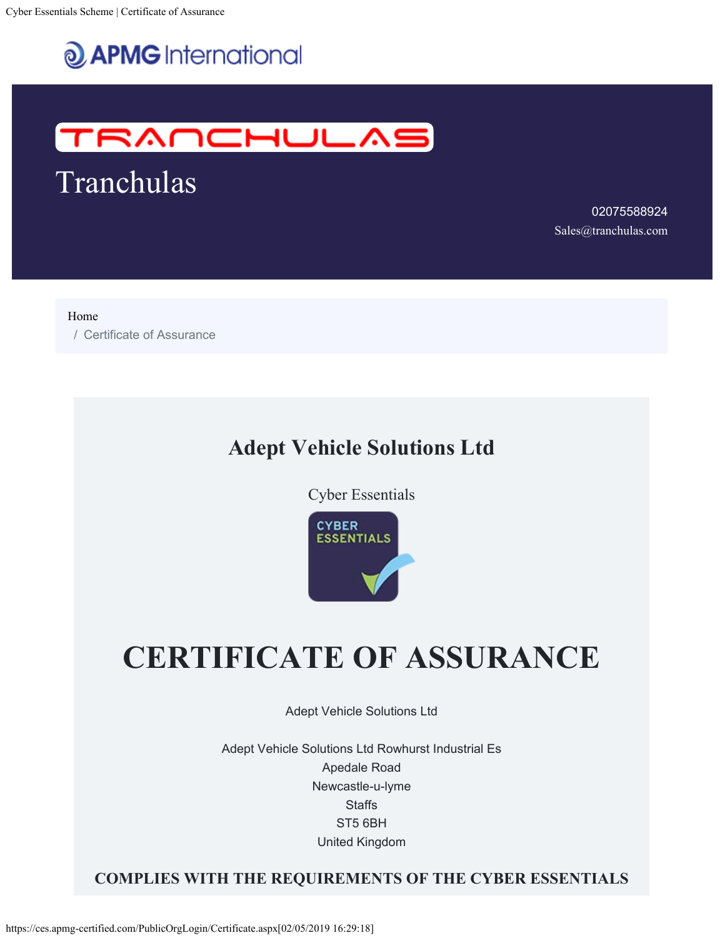



Tranchulas

02075588924 [Sales@tranchulas.com](mailto:Sales@tranchulas.com)

[Home](https://ces.apmg-certified.com/PublicOrgLogin/)

/ Certificate of Assurance

### **Adept Vehicle Solutions Ltd**

Cyber Essentials



# **CERTIFICATE OF ASSURANCE**

Adept Vehicle Solutions Ltd

Adept Vehicle Solutions Ltd Rowhurst Industrial Es Apedale Road Newcastle-u-lyme **Staffs** ST5 6BH United Kingdom

#### **COMPLIES WITH THE REQUIREMENTS OF THE CYBER ESSENTIALS**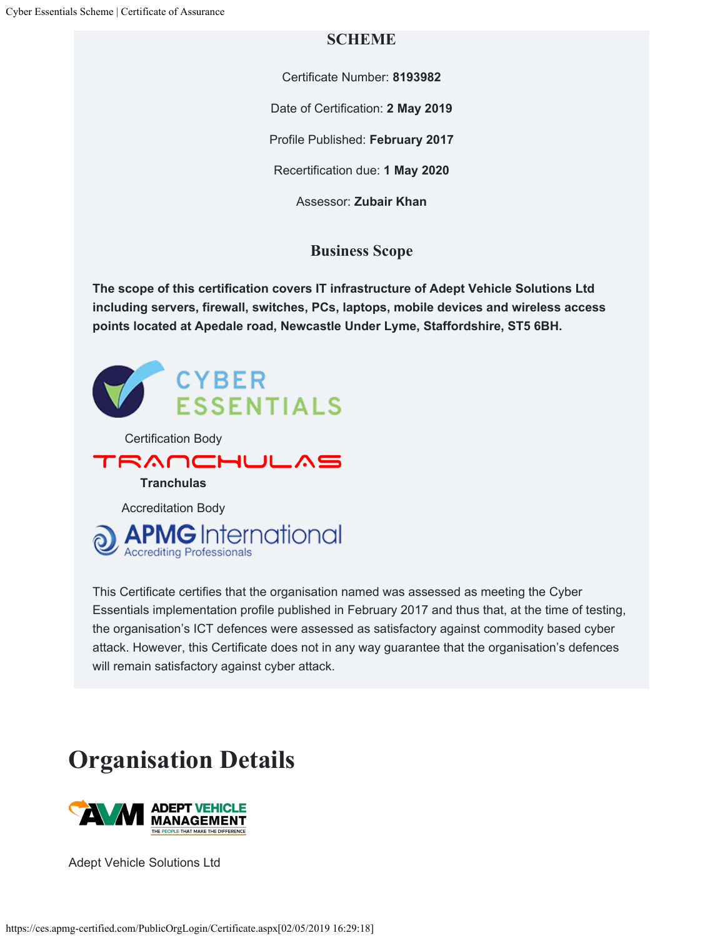#### **SCHEME**

Certificate Number: **8193982**

Date of Certification: **2 May 2019**

Profile Published: **February 2017**

Recertification due: **1 May 2020**

Assessor: **Zubair Khan**

#### **Business Scope**

**The scope of this certification covers IT infrastructure of Adept Vehicle Solutions Ltd including servers, firewall, switches, PCs, laptops, mobile devices and wireless access points located at Apedale road, Newcastle Under Lyme, Staffordshire, ST5 6BH.**



This Certificate certifies that the organisation named was assessed as meeting the Cyber Essentials implementation profile published in February 2017 and thus that, at the time of testing, the organisation's ICT defences were assessed as satisfactory against commodity based cyber attack. However, this Certificate does not in any way guarantee that the organisation's defences will remain satisfactory against cyber attack.

## **Organisation Details**



Adept Vehicle Solutions Ltd